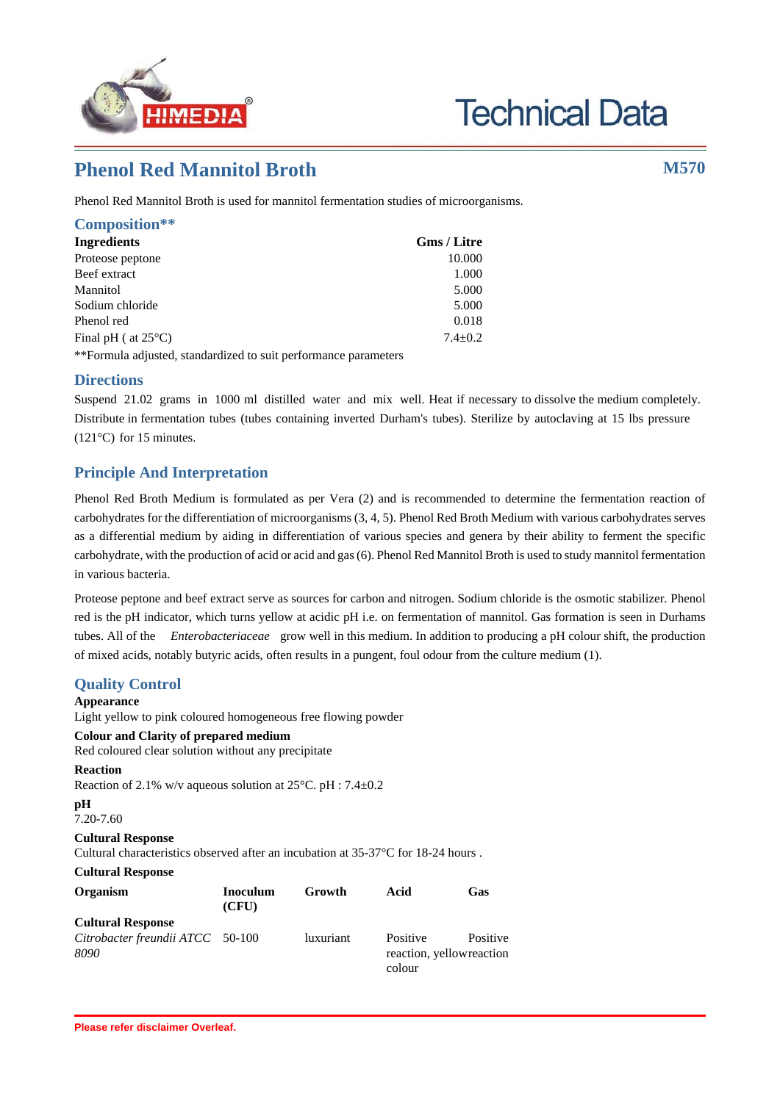

# **Technical Data**

# **Phenol Red Mannitol Broth M570**

Phenol Red Mannitol Broth is used for mannitol fermentation studies of microorganisms.

| Composition**                                                   |                    |
|-----------------------------------------------------------------|--------------------|
| Ingredients                                                     | <b>Gms</b> / Litre |
| Proteose peptone                                                | 10.000             |
| Beef extract                                                    | 1.000              |
| Mannitol                                                        | 5.000              |
| Sodium chloride                                                 | 5.000              |
| Phenol red                                                      | 0.018              |
| Final pH ( $at 25^{\circ}$ C)                                   | $7.4 + 0.2$        |
| **Formula adjusted, standardized to suit performance parameters |                    |

**Directions**

Suspend 21.02 grams in 1000 ml distilled water and mix well. Heat if necessary to dissolve the medium completely. Distribute in fermentation tubes (tubes containing inverted Durham's tubes). Sterilize by autoclaving at 15 lbs pressure (121°C) for 15 minutes.

## **Principle And Interpretation**

Phenol Red Broth Medium is formulated as per Vera (2) and is recommended to determine the fermentation reaction of carbohydrates for the differentiation of microorganisms (3, 4, 5). Phenol Red Broth Medium with various carbohydrates serves as a differential medium by aiding in differentiation of various species and genera by their ability to ferment the specific carbohydrate, with the production of acid or acid and gas (6). Phenol Red Mannitol Broth is used to study mannitol fermentation in various bacteria.

Proteose peptone and beef extract serve as sources for carbon and nitrogen. Sodium chloride is the osmotic stabilizer. Phenol red is the pH indicator, which turns yellow at acidic pH i.e. on fermentation of mannitol. Gas formation is seen in Durhams tubes. All of the *Enterobacteriaceae* grow well in this medium. In addition to producing a pH colour shift, the production of mixed acids, notably butyric acids, often results in a pungent, foul odour from the culture medium (1).

### **Quality Control**

#### **Appearance**

Light yellow to pink coloured homogeneous free flowing powder **Colour and Clarity of prepared medium**

Red coloured clear solution without any precipitate

**Reaction** Reaction of 2.1% w/v aqueous solution at 25°C. pH : 7.4±0.2

```
pH
7.20-7.60
```
# **Cultural Response** Cultural characteristics observed after an incubation at 35-37°C for 18-24 hours .

**Cultural Response**

| Organism                                 | <b>Inoculum</b><br>(CFU) | Growth           | Acid                                                        | Gas |
|------------------------------------------|--------------------------|------------------|-------------------------------------------------------------|-----|
| <b>Cultural Response</b>                 |                          |                  |                                                             |     |
| Citrobacter freundii ATCC 50-100<br>8090 |                          | <i>luxuriant</i> | Positive<br>Positive<br>reaction, yellow reaction<br>colour |     |